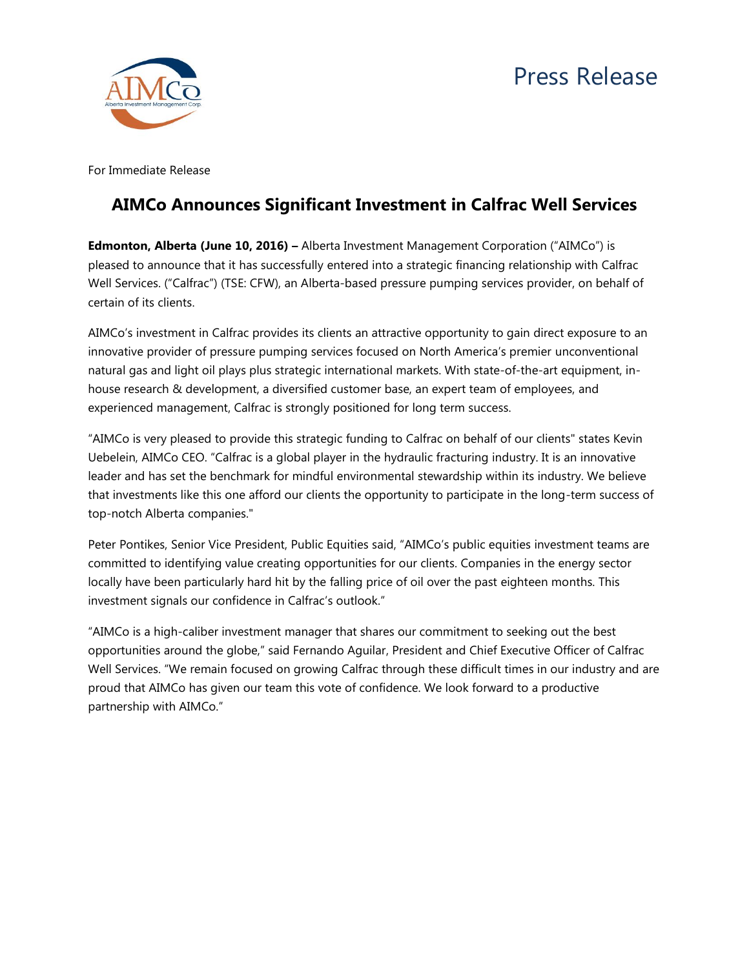

For Immediate Release

## **AIMCo Announces Significant Investment in Calfrac Well Services**

**Edmonton, Alberta (June 10, 2016) –** Alberta Investment Management Corporation ("AIMCo") is pleased to announce that it has successfully entered into a strategic financing relationship with Calfrac Well Services. ("Calfrac") (TSE: CFW), an Alberta-based pressure pumping services provider, on behalf of certain of its clients.

AIMCo's investment in Calfrac provides its clients an attractive opportunity to gain direct exposure to an innovative provider of pressure pumping services focused on North America's premier unconventional natural gas and light oil plays plus strategic international markets. With state-of-the-art equipment, inhouse research & development, a diversified customer base, an expert team of employees, and experienced management, Calfrac is strongly positioned for long term success.

"AIMCo is very pleased to provide this strategic funding to Calfrac on behalf of our clients" states Kevin Uebelein, AIMCo CEO. "Calfrac is a global player in the hydraulic fracturing industry. It is an innovative leader and has set the benchmark for mindful environmental stewardship within its industry. We believe that investments like this one afford our clients the opportunity to participate in the long-term success of top-notch Alberta companies."

Peter Pontikes, Senior Vice President, Public Equities said, "AIMCo's public equities investment teams are committed to identifying value creating opportunities for our clients. Companies in the energy sector locally have been particularly hard hit by the falling price of oil over the past eighteen months. This investment signals our confidence in Calfrac's outlook."

"AIMCo is a high-caliber investment manager that shares our commitment to seeking out the best opportunities around the globe," said Fernando Aguilar, President and Chief Executive Officer of Calfrac Well Services. "We remain focused on growing Calfrac through these difficult times in our industry and are proud that AIMCo has given our team this vote of confidence. We look forward to a productive partnership with AIMCo."